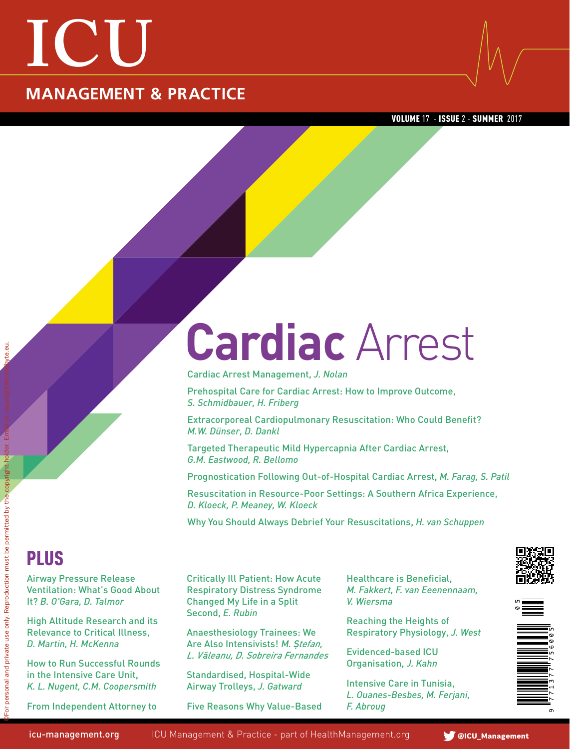## **ICU MANAGEMENT & PRACTICE**

VOLUME 17 - ISSUE 2 - SUMMER 2017

# **Cardiac** Arrest

Cardiac Arrest Management, *J. Nolan*

Prehospital Care for Cardiac Arrest: How to Improve Outcome, *S. Schmidbauer, H. Friberg*

Extracorporeal Cardiopulmonary Resuscitation: Who Could Benefit? *M.W. Dünser, D. Dankl*

Targeted Therapeutic Mild Hypercapnia After Cardiac Arrest, *G.M. Eastwood, R. Bellomo*

Prognostication Following Out-of-Hospital Cardiac Arrest, *M. Farag, S. Patil*

Resuscitation in Resource-Poor Settings: A Southern Africa Experience, *D. Kloeck, P. Meaney, W. Kloeck*

Why You Should Always Debrief Your Resuscitations, *H. van Schuppen* 

### Plus

Airway Pressure Release Ventilation: What's Good About It? *B. O'Gara, D. Talmor*

High Altitude Research and its Relevance to Critical Illness, *D. Martin, H. McKenna*

How to Run Successful Rounds in the Intensive Care Unit, *K. L. Nugent, C.M. Coopersmith*

From Independent Attorney to

Critically Ill Patient: How Acute Respiratory Distress Syndrome Changed My Life in a Split Second, *E. Rubin*

Anaesthesiology Trainees: We Are Also Intensivists! M*.* **Ș***tefan, L. V***ă***leanu, D. Sobreira Fernandes*

Standardised, Hospital-Wide Airway Trolleys, *J. Gatward*

Five Reasons Why Value-Based

Healthcare is Beneficial, *M. Fakkert, F. van Eeenennaam, V. Wiersma*

Reaching the Heights of Respiratory Physiology, *J. West*

Evidenced-based ICU Organisation, *J. Kahn*

Intensive Care in Tunisia, *L. Ouanes-Besbes, M. Ferjani, F. Abroug*